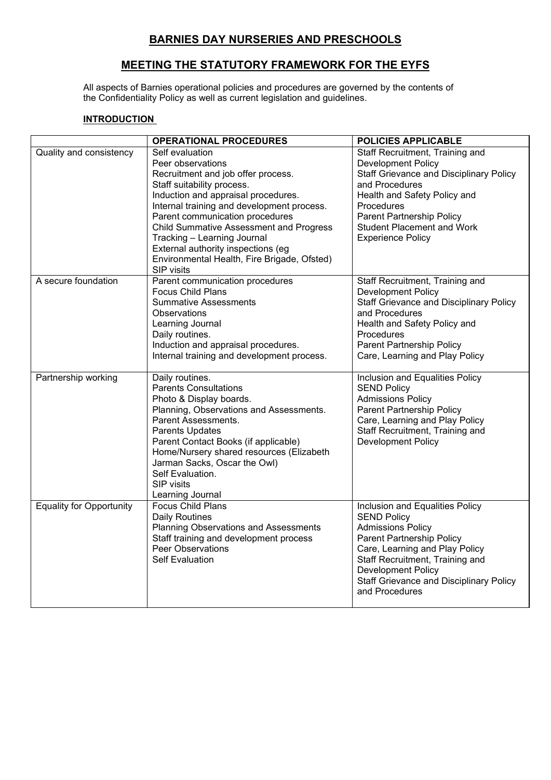# **BARNIES DAY NURSERIES AND PRESCHOOLS**

# **MEETING THE STATUTORY FRAMEWORK FOR THE EYFS**

All aspects of Barnies operational policies and procedures are governed by the contents of the Confidentiality Policy as well as current legislation and guidelines.

#### **INTRODUCTION**

|                                 | <b>OPERATIONAL PROCEDURES</b>                                                                                                                                                                                                                                                                                                                                                                                        | <b>POLICIES APPLICABLE</b>                                                                                                                                                                                                                                                           |
|---------------------------------|----------------------------------------------------------------------------------------------------------------------------------------------------------------------------------------------------------------------------------------------------------------------------------------------------------------------------------------------------------------------------------------------------------------------|--------------------------------------------------------------------------------------------------------------------------------------------------------------------------------------------------------------------------------------------------------------------------------------|
| Quality and consistency         | Self evaluation<br>Peer observations<br>Recruitment and job offer process.<br>Staff suitability process.<br>Induction and appraisal procedures.<br>Internal training and development process.<br>Parent communication procedures<br><b>Child Summative Assessment and Progress</b><br>Tracking - Learning Journal<br>External authority inspections (eg<br>Environmental Health, Fire Brigade, Ofsted)<br>SIP visits | Staff Recruitment, Training and<br><b>Development Policy</b><br><b>Staff Grievance and Disciplinary Policy</b><br>and Procedures<br>Health and Safety Policy and<br>Procedures<br>Parent Partnership Policy<br><b>Student Placement and Work</b><br><b>Experience Policy</b>         |
| A secure foundation             | Parent communication procedures<br><b>Focus Child Plans</b><br><b>Summative Assessments</b><br><b>Observations</b><br>Learning Journal<br>Daily routines.<br>Induction and appraisal procedures.<br>Internal training and development process.                                                                                                                                                                       | Staff Recruitment, Training and<br><b>Development Policy</b><br><b>Staff Grievance and Disciplinary Policy</b><br>and Procedures<br>Health and Safety Policy and<br>Procedures<br>Parent Partnership Policy<br>Care, Learning and Play Policy                                        |
| Partnership working             | Daily routines.<br><b>Parents Consultations</b><br>Photo & Display boards.<br>Planning, Observations and Assessments.<br>Parent Assessments.<br>Parents Updates<br>Parent Contact Books (if applicable)<br>Home/Nursery shared resources (Elizabeth<br>Jarman Sacks, Oscar the Owl)<br>Self Evaluation.<br><b>SIP</b> visits<br>Learning Journal                                                                     | Inclusion and Equalities Policy<br><b>SEND Policy</b><br><b>Admissions Policy</b><br>Parent Partnership Policy<br>Care, Learning and Play Policy<br>Staff Recruitment, Training and<br>Development Policy                                                                            |
| <b>Equality for Opportunity</b> | <b>Focus Child Plans</b><br><b>Daily Routines</b><br><b>Planning Observations and Assessments</b><br>Staff training and development process<br><b>Peer Observations</b><br><b>Self Evaluation</b>                                                                                                                                                                                                                    | Inclusion and Equalities Policy<br><b>SEND Policy</b><br><b>Admissions Policy</b><br>Parent Partnership Policy<br>Care, Learning and Play Policy<br>Staff Recruitment, Training and<br><b>Development Policy</b><br><b>Staff Grievance and Disciplinary Policy</b><br>and Procedures |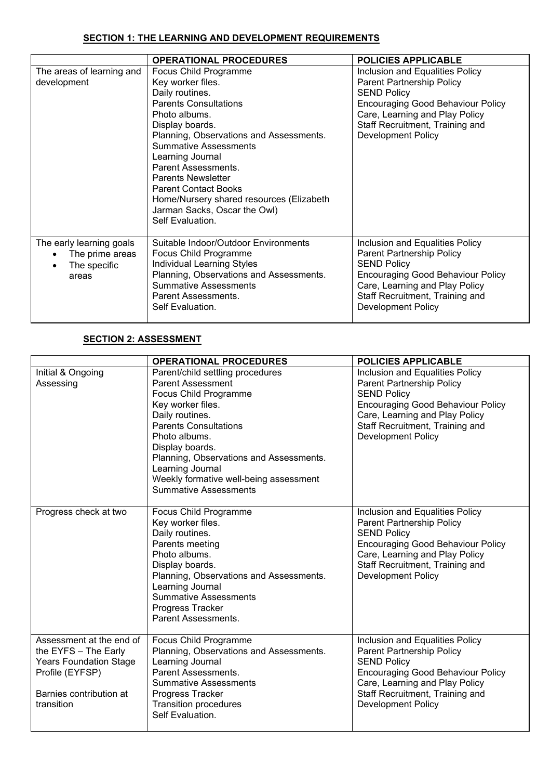## **SECTION 1: THE LEARNING AND DEVELOPMENT REQUIREMENTS**

|                                                                                   | <b>OPERATIONAL PROCEDURES</b>                                                                                                                                                                                                                                                                                                                                                                                       | <b>POLICIES APPLICABLE</b>                                                                                                                                                                                                       |
|-----------------------------------------------------------------------------------|---------------------------------------------------------------------------------------------------------------------------------------------------------------------------------------------------------------------------------------------------------------------------------------------------------------------------------------------------------------------------------------------------------------------|----------------------------------------------------------------------------------------------------------------------------------------------------------------------------------------------------------------------------------|
| The areas of learning and<br>development                                          | Focus Child Programme<br>Key worker files.<br>Daily routines.<br><b>Parents Consultations</b><br>Photo albums.<br>Display boards.<br>Planning, Observations and Assessments.<br><b>Summative Assessments</b><br>Learning Journal<br>Parent Assessments.<br><b>Parents Newsletter</b><br><b>Parent Contact Books</b><br>Home/Nursery shared resources (Elizabeth<br>Jarman Sacks, Oscar the Owl)<br>Self Evaluation. | Inclusion and Equalities Policy<br>Parent Partnership Policy<br><b>SEND Policy</b><br><b>Encouraging Good Behaviour Policy</b><br>Care, Learning and Play Policy<br>Staff Recruitment, Training and<br><b>Development Policy</b> |
| The early learning goals<br>The prime areas<br>The specific<br>$\bullet$<br>areas | Suitable Indoor/Outdoor Environments<br>Focus Child Programme<br>Individual Learning Styles<br>Planning, Observations and Assessments.<br><b>Summative Assessments</b><br>Parent Assessments.<br>Self Evaluation.                                                                                                                                                                                                   | Inclusion and Equalities Policy<br>Parent Partnership Policy<br><b>SEND Policy</b><br><b>Encouraging Good Behaviour Policy</b><br>Care, Learning and Play Policy<br>Staff Recruitment, Training and<br>Development Policy        |

### **SECTION 2: ASSESSMENT**

|                                                                                                                                               | <b>OPERATIONAL PROCEDURES</b>                                                                                                                                                                                                                                                                                                              | <b>POLICIES APPLICABLE</b>                                                                                                                                                                                                       |
|-----------------------------------------------------------------------------------------------------------------------------------------------|--------------------------------------------------------------------------------------------------------------------------------------------------------------------------------------------------------------------------------------------------------------------------------------------------------------------------------------------|----------------------------------------------------------------------------------------------------------------------------------------------------------------------------------------------------------------------------------|
| Initial & Ongoing<br>Assessing                                                                                                                | Parent/child settling procedures<br><b>Parent Assessment</b><br>Focus Child Programme<br>Key worker files.<br>Daily routines.<br><b>Parents Consultations</b><br>Photo albums.<br>Display boards.<br>Planning, Observations and Assessments.<br>Learning Journal<br>Weekly formative well-being assessment<br><b>Summative Assessments</b> | Inclusion and Equalities Policy<br>Parent Partnership Policy<br><b>SEND Policy</b><br><b>Encouraging Good Behaviour Policy</b><br>Care, Learning and Play Policy<br>Staff Recruitment, Training and<br><b>Development Policy</b> |
| Progress check at two                                                                                                                         | Focus Child Programme<br>Key worker files.<br>Daily routines.<br>Parents meeting<br>Photo albums.<br>Display boards.<br>Planning, Observations and Assessments.<br>Learning Journal<br><b>Summative Assessments</b><br>Progress Tracker<br>Parent Assessments.                                                                             | Inclusion and Equalities Policy<br>Parent Partnership Policy<br><b>SEND Policy</b><br><b>Encouraging Good Behaviour Policy</b><br>Care, Learning and Play Policy<br>Staff Recruitment, Training and<br><b>Development Policy</b> |
| Assessment at the end of<br>the EYFS - The Early<br><b>Years Foundation Stage</b><br>Profile (EYFSP)<br>Barnies contribution at<br>transition | Focus Child Programme<br>Planning, Observations and Assessments.<br>Learning Journal<br>Parent Assessments.<br><b>Summative Assessments</b><br>Progress Tracker<br><b>Transition procedures</b><br>Self Evaluation.                                                                                                                        | Inclusion and Equalities Policy<br>Parent Partnership Policy<br><b>SEND Policy</b><br><b>Encouraging Good Behaviour Policy</b><br>Care, Learning and Play Policy<br>Staff Recruitment, Training and<br><b>Development Policy</b> |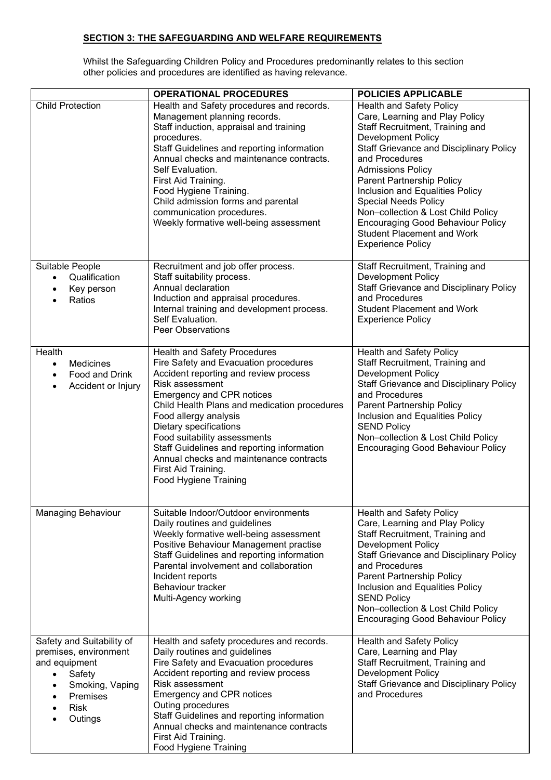### **SECTION 3: THE SAFEGUARDING AND WELFARE REQUIREMENTS**

Whilst the Safeguarding Children Policy and Procedures predominantly relates to this section other policies and procedures are identified as having relevance.

|                                                                                                                                                                  | <b>OPERATIONAL PROCEDURES</b>                                                                                                                                                                                                                                                                                                                                                                                                                     | <b>POLICIES APPLICABLE</b>                                                                                                                                                                                                                                                                                                                                                                                                                                                          |
|------------------------------------------------------------------------------------------------------------------------------------------------------------------|---------------------------------------------------------------------------------------------------------------------------------------------------------------------------------------------------------------------------------------------------------------------------------------------------------------------------------------------------------------------------------------------------------------------------------------------------|-------------------------------------------------------------------------------------------------------------------------------------------------------------------------------------------------------------------------------------------------------------------------------------------------------------------------------------------------------------------------------------------------------------------------------------------------------------------------------------|
| <b>Child Protection</b>                                                                                                                                          | Health and Safety procedures and records.<br>Management planning records.<br>Staff induction, appraisal and training<br>procedures.<br>Staff Guidelines and reporting information<br>Annual checks and maintenance contracts.<br>Self Evaluation.<br>First Aid Training.<br>Food Hygiene Training.<br>Child admission forms and parental<br>communication procedures.<br>Weekly formative well-being assessment                                   | <b>Health and Safety Policy</b><br>Care, Learning and Play Policy<br>Staff Recruitment, Training and<br><b>Development Policy</b><br><b>Staff Grievance and Disciplinary Policy</b><br>and Procedures<br><b>Admissions Policy</b><br>Parent Partnership Policy<br>Inclusion and Equalities Policy<br><b>Special Needs Policy</b><br>Non-collection & Lost Child Policy<br><b>Encouraging Good Behaviour Policy</b><br><b>Student Placement and Work</b><br><b>Experience Policy</b> |
| Suitable People<br>Qualification<br>$\bullet$<br>Key person<br>Ratios                                                                                            | Recruitment and job offer process.<br>Staff suitability process.<br>Annual declaration<br>Induction and appraisal procedures.<br>Internal training and development process.<br>Self Evaluation.<br><b>Peer Observations</b>                                                                                                                                                                                                                       | Staff Recruitment, Training and<br><b>Development Policy</b><br><b>Staff Grievance and Disciplinary Policy</b><br>and Procedures<br><b>Student Placement and Work</b><br><b>Experience Policy</b>                                                                                                                                                                                                                                                                                   |
| Health<br>Medicines<br>$\bullet$<br>Food and Drink<br>$\bullet$<br>Accident or Injury<br>$\bullet$                                                               | <b>Health and Safety Procedures</b><br>Fire Safety and Evacuation procedures<br>Accident reporting and review process<br>Risk assessment<br>Emergency and CPR notices<br>Child Health Plans and medication procedures<br>Food allergy analysis<br>Dietary specifications<br>Food suitability assessments<br>Staff Guidelines and reporting information<br>Annual checks and maintenance contracts<br>First Aid Training.<br>Food Hygiene Training | Health and Safety Policy<br>Staff Recruitment, Training and<br>Development Policy<br><b>Staff Grievance and Disciplinary Policy</b><br>and Procedures<br>Parent Partnership Policy<br>Inclusion and Equalities Policy<br><b>SEND Policy</b><br>Non-collection & Lost Child Policy<br><b>Encouraging Good Behaviour Policy</b>                                                                                                                                                       |
| <b>Managing Behaviour</b>                                                                                                                                        | Suitable Indoor/Outdoor environments<br>Daily routines and guidelines<br>Weekly formative well-being assessment<br>Positive Behaviour Management practise<br>Staff Guidelines and reporting information<br>Parental involvement and collaboration<br>Incident reports<br>Behaviour tracker<br>Multi-Agency working                                                                                                                                | Health and Safety Policy<br>Care, Learning and Play Policy<br>Staff Recruitment, Training and<br><b>Development Policy</b><br><b>Staff Grievance and Disciplinary Policy</b><br>and Procedures<br>Parent Partnership Policy<br>Inclusion and Equalities Policy<br><b>SEND Policy</b><br>Non-collection & Lost Child Policy<br><b>Encouraging Good Behaviour Policy</b>                                                                                                              |
| Safety and Suitability of<br>premises, environment<br>and equipment<br>Safety<br>$\bullet$<br>Smoking, Vaping<br>$\bullet$<br>Premises<br><b>Risk</b><br>Outings | Health and safety procedures and records.<br>Daily routines and guidelines<br>Fire Safety and Evacuation procedures<br>Accident reporting and review process<br>Risk assessment<br><b>Emergency and CPR notices</b><br>Outing procedures<br>Staff Guidelines and reporting information<br>Annual checks and maintenance contracts<br>First Aid Training.<br>Food Hygiene Training                                                                 | Health and Safety Policy<br>Care, Learning and Play<br>Staff Recruitment, Training and<br>Development Policy<br><b>Staff Grievance and Disciplinary Policy</b><br>and Procedures                                                                                                                                                                                                                                                                                                    |